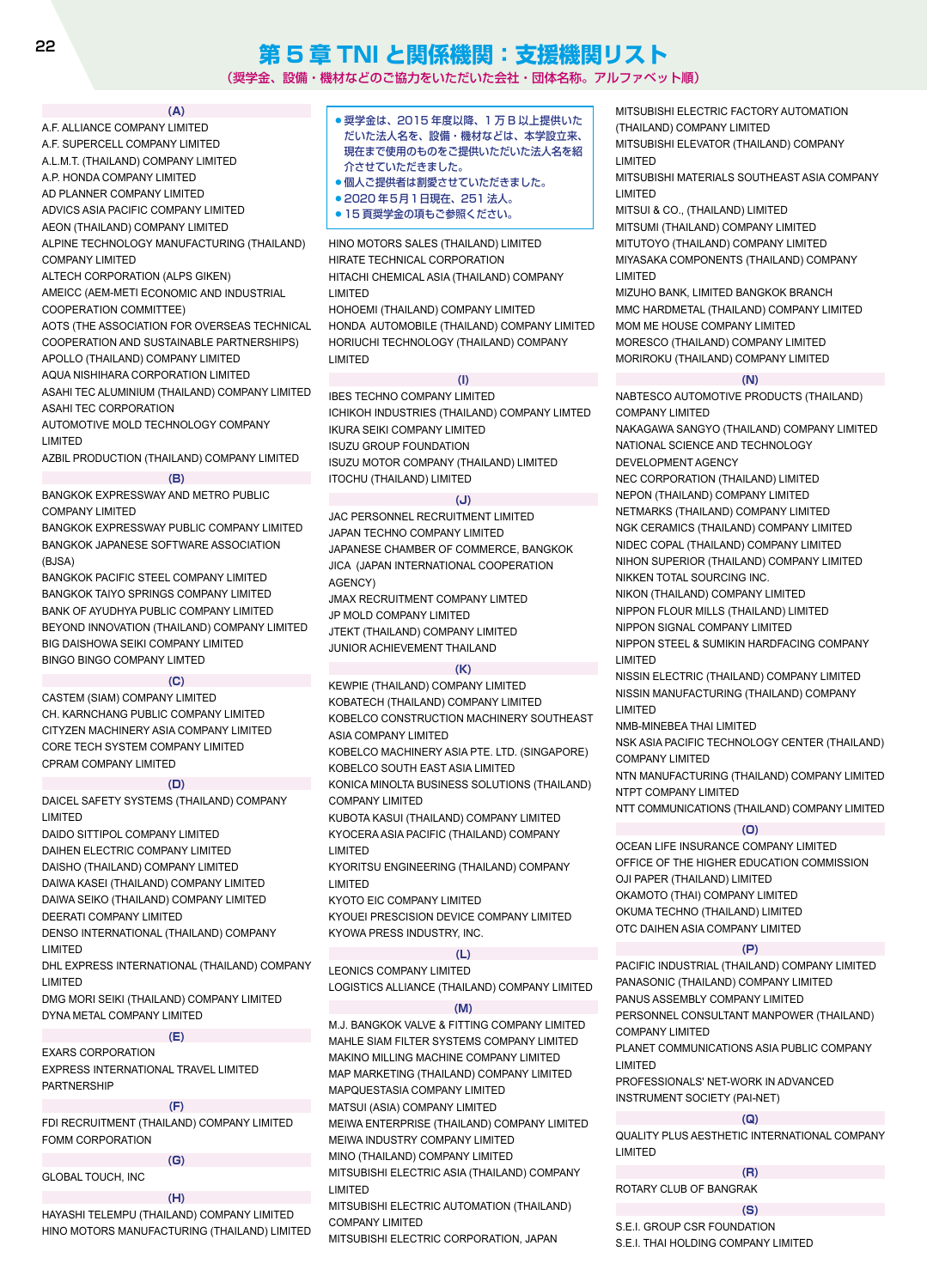# **第 5 章 TNI と関係機関:支援機関リスト**

(奨学金、設備・機材などのご協力をいただいた会社・団体名称。アルファベット順)

#### **(A)**

- A.F. ALLIANCE COMPANY LIMITED A.F. SUPERCELL COMPANY LIMITED
- A.L.M.T. (THAILAND) COMPANY LIMITED
- A.P. HONDA COMPANY LIMITED
- AD PLANNER COMPANY LIMITED
- ADVICS ASIA PACIFIC COMPANY LIMITED

AEON (THAILAND) COMPANY LIMITED

ALPINE TECHNOLOGY MANUFACTURING (THAILAND)

COMPANY LIMITED

#### ALTECH CORPORATION (ALPS GIKEN)

AMEICC (AEM-METI ECONOMIC AND INDUSTRIAL COOPERATION COMMITTEE)

AOTS (THE ASSOCIATION FOR OVERSEAS TECHNICAL COOPERATION AND SUSTAINABLE PARTNERSHIPS) APOLLO (THAILAND) COMPANY LIMITED

AQUA NISHIHARA CORPORATION LIMITED ASAHI TEC ALUMINIUM (THAILAND) COMPANY LIMITED ASAHI TEC CORPORATION

AUTOMOTIVE MOLD TECHNOLOGY COMPANY LIMITED

AZBIL PRODUCTION (THAILAND) COMPANY LIMITED

# **(B)**

#### BANGKOK EXPRESSWAY AND METRO PUBLIC

COMPANY LIMITED BANGKOK EXPRESSWAY PUBLIC COMPANY LIMITED BANGKOK JAPANESE SOFTWARE ASSOCIATION (BJSA)

BANGKOK PACIFIC STEEL COMPANY LIMITED BANGKOK TAIYO SPRINGS COMPANY LIMITED BANK OF AYUDHYA PUBLIC COMPANY LIMITED BEYOND INNOVATION (THAILAND) COMPANY LIMITED BIG DAISHOWA SEIKI COMPANY LIMITED BINGO BINGO COMPANY LIMTED

#### **(C)**

CASTEM (SIAM) COMPANY LIMITED CH. KARNCHANG PUBLIC COMPANY LIMITED CITYZEN MACHINERY ASIA COMPANY LIMITED CORE TECH SYSTEM COMPANY LIMITED CPRAM COMPANY LIMITED

#### **(D)**

DAICEL SAFETY SYSTEMS (THAILAND) COMPANY LIMITED

DAIDO SITTIPOL COMPANY LIMITED

DAIHEN ELECTRIC COMPANY LIMITED DAISHO (THAILAND) COMPANY LIMITED

DAIWA KASEI (THAILAND) COMPANY LIMITED DAIWA SEIKO (THAILAND) COMPANY LIMITED

DEERATI COMPANY LIMITED

DENSO INTERNATIONAL (THAILAND) COMPANY LIMITED

DHL EXPRESS INTERNATIONAL (THAILAND) COMPANY LIMITED

DMG MORI SEIKI (THAILAND) COMPANY LIMITED DYNA METAL COMPANY LIMITED

**(E)**

EXARS CORPORATION EXPRESS INTERNATIONAL TRAVEL LIMITED PARTNERSHIP

#### **(F)**

FDI RECRUITMENT (THAILAND) COMPANY LIMITED FOMM CORPORATION

|                          | (G) |
|--------------------------|-----|
| <b>GLOBAL TOUCH, INC</b> |     |
|                          | (H) |

HAYASHI TELEMPU (THAILAND) COMPANY LIMITED HINO MOTORS MANUFACTURING (THAILAND) LIMITED

- 奨学金は、2015 年度以降、1万B以上提供いた だいた法人名を、設備・機材などは、本学設立来、 現在まで使用のものをご提供いただいた法人名を紹 介させていただきました。
- 個人ご提供者は割愛させていただきました。
- 2020 年5月1日現在、251 法人。
- 15 頁奨学金の項もご参照ください。

HINO MOTORS SALES (THAILAND) LIMITED HIRATE TECHNICAL CORPORATION HITACHI CHEMICAL ASIA (THAILAND) COMPANY LIMITED

HOHOEMI (THAILAND) COMPANY LIMITED HONDA AUTOMOBILE (THAILAND) COMPANY LIMITED HORIUCHI TECHNOLOGY (THAILAND) COMPANY LIMITED

#### **(I)**

IBES TECHNO COMPANY LIMITED ICHIKOH INDUSTRIES (THAILAND) COMPANY LIMTED IKURA SEIKI COMPANY LIMITED ISUZU GROUP FOUNDATION ISUZU MOTOR COMPANY (THAILAND) LIMITED ITOCHU (THAILAND) LIMITED

#### **(J)**

JAC PERSONNEL RECRUITMENT LIMITED JAPAN TECHNO COMPANY LIMITED JAPANESE CHAMBER OF COMMERCE, BANGKOK JICA (JAPAN INTERNATIONAL COOPERATION AGENCY)

JMAX RECRUITMENT COMPANY LIMTED JP MOLD COMPANY LIMITED JTEKT (THAILAND) COMPANY LIMITED

JUNIOR ACHIEVEMENT THAILAND

#### **(K)**

KEWPIE (THAILAND) COMPANY LIMITED KOBATECH (THAILAND) COMPANY LIMITED KOBELCO CONSTRUCTION MACHINERY SOUTHEAST ASIA COMPANY LIMITED

KOBELCO MACHINERY ASIA PTE. LTD. (SINGAPORE) KOBELCO SOUTH EAST ASIA LIMITED

KONICA MINOLTA BUSINESS SOLUTIONS (THAILAND) COMPANY LIMITED

KUBOTA KASUI (THAILAND) COMPANY LIMITED KYOCERA ASIA PACIFIC (THAILAND) COMPANY LIMITED

KYORITSU ENGINEERING (THAILAND) COMPANY LIMITED

KYOTO EIC COMPANY LIMITED

KYOUEI PRESCISION DEVICE COMPANY LIMITED KYOWA PRESS INDUSTRY, INC.

#### **(L)**

LEONICS COMPANY LIMITED LOGISTICS ALLIANCE (THAILAND) COMPANY LIMITED

#### **(M)**

M.J. BANGKOK VALVE & FITTING COMPANY LIMITED MAHLE SIAM FILTER SYSTEMS COMPANY LIMITED MAKINO MILLING MACHINE COMPANY LIMITED MAP MARKETING (THAILAND) COMPANY LIMITED MAPQUESTASIA COMPANY LIMITED MATSUI (ASIA) COMPANY LIMITED MEIWA ENTERPRISE (THAILAND) COMPANY LIMITED MEIWA INDUSTRY COMPANY LIMITED MINO (THAILAND) COMPANY LIMITED MITSUBISHI ELECTRIC ASIA (THAILAND) COMPANY LIMITED MITSUBISHI ELECTRIC AUTOMATION (THAILAND)

MITSUBISHI ELECTRIC CORPORATION, JAPAN

COMPANY LIMITED

MITSUBISHI ELECTRIC FACTORY AUTOMATION (THAILAND) COMPANY LIMITED MITSUBISHI ELEVATOR (THAILAND) COMPANY LIMITED

MITSUBISHI MATERIALS SOUTHEAST ASIA COMPANY LIMITED

MITSUI & CO., (THAILAND) LIMITED MITSUMI (THAILAND) COMPANY LIMITED MITUTOYO (THAILAND) COMPANY LIMITED MIYASAKA COMPONENTS (THAILAND) COMPANY LIMITED

MIZUHO BANK, LIMITED BANGKOK BRANCH MMC HARDMETAL (THAILAND) COMPANY LIMITED MOM ME HOUSE COMPANY LIMITED MORESCO (THAILAND) COMPANY LIMITED MORIROKU (THAILAND) COMPANY LIMITED

#### **(N)**

NABTESCO AUTOMOTIVE PRODUCTS (THAILAND) COMPANY LIMITED

NAKAGAWA SANGYO (THAILAND) COMPANY LIMITED NATIONAL SCIENCE AND TECHNOLOGY DEVELOPMENT AGENCY

NEC CORPORATION (THAILAND) LIMITED

NEPON (THAILAND) COMPANY LIMITED

NETMARKS (THAILAND) COMPANY LIMITED NGK CERAMICS (THAILAND) COMPANY LIMITED NIDEC COPAL (THAILAND) COMPANY LIMITED NIHON SUPERIOR (THAILAND) COMPANY LIMITED

NIKKEN TOTAL SOURCING INC.

NIKON (THAILAND) COMPANY LIMITED NIPPON FLOUR MILLS (THAILAND) LIMITED

NIPPON SIGNAL COMPANY LIMITED NIPPON STEEL & SUMIKIN HARDFACING COMPANY

LIMITED

NISSIN ELECTRIC (THAILAND) COMPANY LIMITED NISSIN MANUFACTURING (THAILAND) COMPANY LIMITED

NMB-MINEBEA THAI LIMITED NSK ASIA PACIFIC TECHNOLOGY CENTER (THAILAND) COMPANY LIMITED

NTN MANUFACTURING (THAILAND) COMPANY LIMITED NTPT COMPANY LIMITED

NTT COMMUNICATIONS (THAILAND) COMPANY LIMITED

### **(O)**

OCEAN LIFE INSURANCE COMPANY LIMITED OFFICE OF THE HIGHER EDUCATION COMMISSION OJI PAPER (THAILAND) LIMITED OKAMOTO (THAI) COMPANY LIMITED OKUMA TECHNO (THAILAND) LIMITED OTC DAIHEN ASIA COMPANY LIMITED

#### **(P)**

PACIFIC INDUSTRIAL (THAILAND) COMPANY LIMITED PANASONIC (THAILAND) COMPANY LIMITED PANUS ASSEMBLY COMPANY LIMITED PERSONNEL CONSULTANT MANPOWER (THAILAND) COMPANY LIMITED PLANET COMMUNICATIONS ASIA PUBLIC COMPANY

LIMITED

PROFESSIONALS' NET-WORK IN ADVANCED INSTRUMENT SOCIETY (PAI-NET)

#### **(Q)**

QUALITY PLUS AESTHETIC INTERNATIONAL COMPANY LIMITED

**(R)** ROTARY CLUB OF BANGRAK

**(S)**

S.E.I. GROUP CSR FOUNDATION

S.E.I. THAI HOLDING COMPANY LIMITED